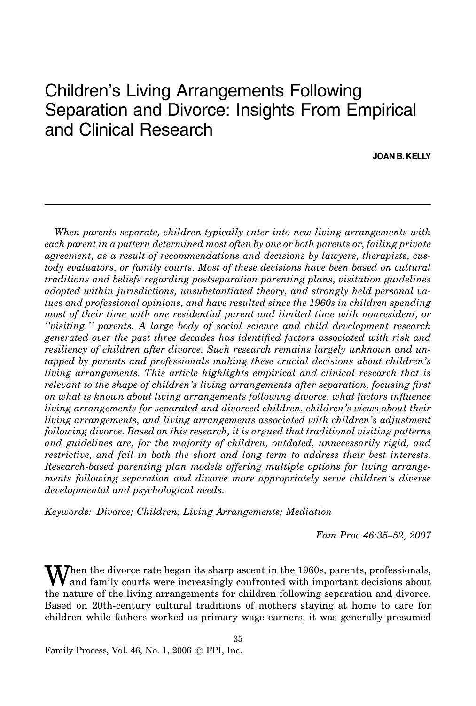# Children's Living Arrangements Following Separation and Divorce: Insights From Empirical and Clinical Research

JOAN B. KELLY

When parents separate, children typically enter into new living arrangements with each parent in a pattern determined most often by one or both parents or, failing private agreement, as a result of recommendations and decisions by lawyers, therapists, custody evaluators, or family courts. Most of these decisions have been based on cultural traditions and beliefs regarding postseparation parenting plans, visitation guidelines adopted within jurisdictions, unsubstantiated theory, and strongly held personal values and professional opinions, and have resulted since the 1960s in children spending most of their time with one residential parent and limited time with nonresident, or ''visiting,'' parents. A large body of social science and child development research generated over the past three decades has identified factors associated with risk and resiliency of children after divorce. Such research remains largely unknown and untapped by parents and professionals making these crucial decisions about children's living arrangements. This article highlights empirical and clinical research that is relevant to the shape of children's living arrangements after separation, focusing first on what is known about living arrangements following divorce, what factors influence living arrangements for separated and divorced children, children's views about their living arrangements, and living arrangements associated with children's adjustment following divorce. Based on this research, it is argued that traditional visiting patterns and guidelines are, for the majority of children, outdated, unnecessarily rigid, and restrictive, and fail in both the short and long term to address their best interests. Research-based parenting plan models offering multiple options for living arrangements following separation and divorce more appropriately serve children's diverse developmental and psychological needs.

Keywords: Divorce; Children; Living Arrangements; Mediation

Fam Proc 46:35–52, 2007

 $\sum$ hen the divorce rate began its sharp ascent in the 1960s, parents, professionals, and family courts were increasingly confronted with important decisions about the nature of the living arrangements for children following separation and divorce. Based on 20th-century cultural traditions of mothers staying at home to care for children while fathers worked as primary wage earners, it was generally presumed

35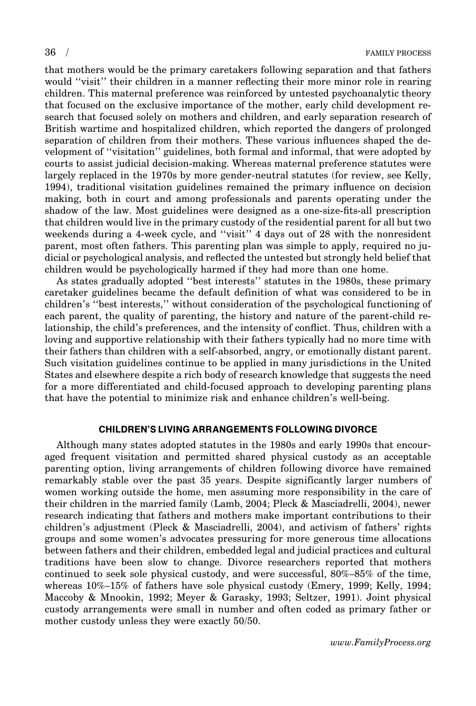that mothers would be the primary caretakers following separation and that fathers would ''visit'' their children in a manner reflecting their more minor role in rearing children. This maternal preference was reinforced by untested psychoanalytic theory that focused on the exclusive importance of the mother, early child development research that focused solely on mothers and children, and early separation research of British wartime and hospitalized children, which reported the dangers of prolonged separation of children from their mothers. These various influences shaped the development of ''visitation'' guidelines, both formal and informal, that were adopted by courts to assist judicial decision-making. Whereas maternal preference statutes were largely replaced in the 1970s by more gender-neutral statutes (for review, see Kelly, 1994), traditional visitation guidelines remained the primary influence on decision making, both in court and among professionals and parents operating under the shadow of the law. Most guidelines were designed as a one-size-fits-all prescription that children would live in the primary custody of the residential parent for all but two weekends during a 4-week cycle, and ''visit'' 4 days out of 28 with the nonresident parent, most often fathers. This parenting plan was simple to apply, required no judicial or psychological analysis, and reflected the untested but strongly held belief that children would be psychologically harmed if they had more than one home.

As states gradually adopted ''best interests'' statutes in the 1980s, these primary caretaker guidelines became the default definition of what was considered to be in children's ''best interests,'' without consideration of the psychological functioning of each parent, the quality of parenting, the history and nature of the parent-child relationship, the child's preferences, and the intensity of conflict. Thus, children with a loving and supportive relationship with their fathers typically had no more time with their fathers than children with a self-absorbed, angry, or emotionally distant parent. Such visitation guidelines continue to be applied in many jurisdictions in the United States and elsewhere despite a rich body of research knowledge that suggests the need for a more differentiated and child-focused approach to developing parenting plans that have the potential to minimize risk and enhance children's well-being.

#### CHILDREN'S LIVING ARRANGEMENTS FOLLOWING DIVORCE

Although many states adopted statutes in the 1980s and early 1990s that encouraged frequent visitation and permitted shared physical custody as an acceptable parenting option, living arrangements of children following divorce have remained remarkably stable over the past 35 years. Despite significantly larger numbers of women working outside the home, men assuming more responsibility in the care of their children in the married family (Lamb, 2004; Pleck & Masciadrelli, 2004), newer research indicating that fathers and mothers make important contributions to their children's adjustment (Pleck & Masciadrelli, 2004), and activism of fathers' rights groups and some women's advocates pressuring for more generous time allocations between fathers and their children, embedded legal and judicial practices and cultural traditions have been slow to change. Divorce researchers reported that mothers continued to seek sole physical custody, and were successful, 80%–85% of the time, whereas 10%–15% of fathers have sole physical custody (Emery, 1999; Kelly, 1994; Maccoby & Mnookin, 1992; Meyer & Garasky, 1993; Seltzer, 1991). Joint physical custody arrangements were small in number and often coded as primary father or mother custody unless they were exactly 50/50.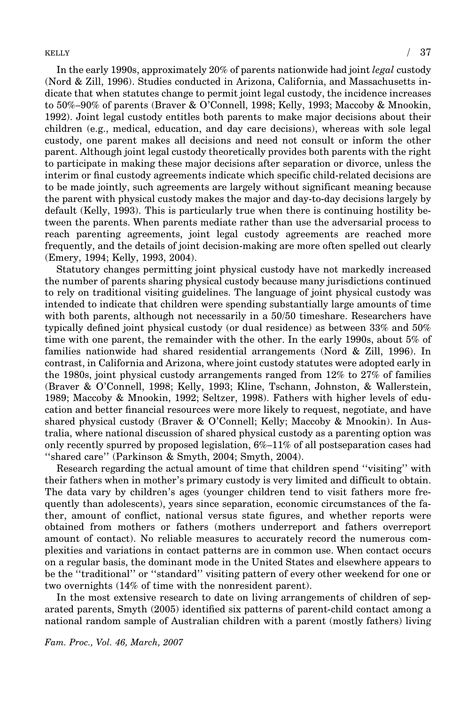In the early 1990s, approximately 20% of parents nationwide had joint *legal* custody (Nord & Zill, 1996). Studies conducted in Arizona, California, and Massachusetts indicate that when statutes change to permit joint legal custody, the incidence increases to 50%–90% of parents (Braver & O'Connell, 1998; Kelly, 1993; Maccoby & Mnookin, 1992). Joint legal custody entitles both parents to make major decisions about their children (e.g., medical, education, and day care decisions), whereas with sole legal custody, one parent makes all decisions and need not consult or inform the other parent. Although joint legal custody theoretically provides both parents with the right to participate in making these major decisions after separation or divorce, unless the interim or final custody agreements indicate which specific child-related decisions are to be made jointly, such agreements are largely without significant meaning because the parent with physical custody makes the major and day-to-day decisions largely by default (Kelly, 1993). This is particularly true when there is continuing hostility between the parents. When parents mediate rather than use the adversarial process to reach parenting agreements, joint legal custody agreements are reached more frequently, and the details of joint decision-making are more often spelled out clearly (Emery, 1994; Kelly, 1993, 2004).

Statutory changes permitting joint physical custody have not markedly increased the number of parents sharing physical custody because many jurisdictions continued to rely on traditional visiting guidelines. The language of joint physical custody was intended to indicate that children were spending substantially large amounts of time with both parents, although not necessarily in a 50/50 timeshare. Researchers have typically defined joint physical custody (or dual residence) as between 33% and 50% time with one parent, the remainder with the other. In the early 1990s, about 5% of families nationwide had shared residential arrangements (Nord & Zill, 1996). In contrast, in California and Arizona, where joint custody statutes were adopted early in the 1980s, joint physical custody arrangements ranged from 12% to 27% of families (Braver & O'Connell, 1998; Kelly, 1993; Kline, Tschann, Johnston, & Wallerstein, 1989; Maccoby & Mnookin, 1992; Seltzer, 1998). Fathers with higher levels of education and better financial resources were more likely to request, negotiate, and have shared physical custody (Braver & O'Connell; Kelly; Maccoby & Mnookin). In Australia, where national discussion of shared physical custody as a parenting option was only recently spurred by proposed legislation, 6%–11% of all postseparation cases had ''shared care'' (Parkinson & Smyth, 2004; Smyth, 2004).

Research regarding the actual amount of time that children spend ''visiting'' with their fathers when in mother's primary custody is very limited and difficult to obtain. The data vary by children's ages (younger children tend to visit fathers more frequently than adolescents), years since separation, economic circumstances of the father, amount of conflict, national versus state figures, and whether reports were obtained from mothers or fathers (mothers underreport and fathers overreport amount of contact). No reliable measures to accurately record the numerous complexities and variations in contact patterns are in common use. When contact occurs on a regular basis, the dominant mode in the United States and elsewhere appears to be the ''traditional'' or ''standard'' visiting pattern of every other weekend for one or two overnights (14% of time with the nonresident parent).

In the most extensive research to date on living arrangements of children of separated parents, Smyth (2005) identified six patterns of parent-child contact among a national random sample of Australian children with a parent (mostly fathers) living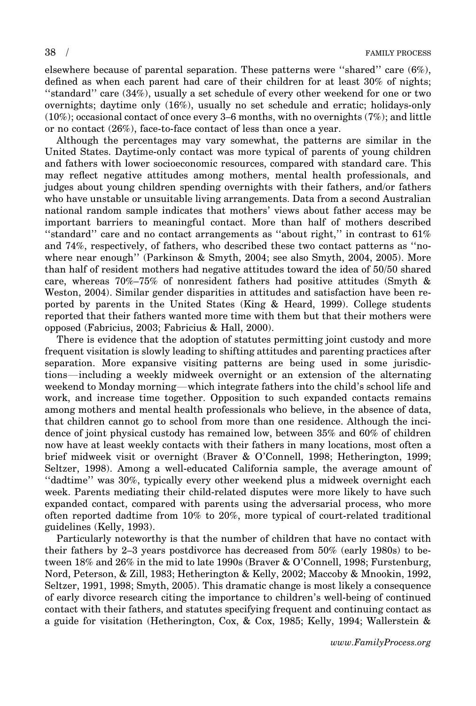elsewhere because of parental separation. These patterns were "shared" care  $(6\%)$ , defined as when each parent had care of their children for at least 30% of nights; ''standard'' care (34%), usually a set schedule of every other weekend for one or two overnights; daytime only (16%), usually no set schedule and erratic; holidays-only  $(10\%)$ ; occasional contact of once every 3–6 months, with no overnights (7%); and little or no contact (26%), face-to-face contact of less than once a year.

Although the percentages may vary somewhat, the patterns are similar in the United States. Daytime-only contact was more typical of parents of young children and fathers with lower socioeconomic resources, compared with standard care. This may reflect negative attitudes among mothers, mental health professionals, and judges about young children spending overnights with their fathers, and/or fathers who have unstable or unsuitable living arrangements. Data from a second Australian national random sample indicates that mothers' views about father access may be important barriers to meaningful contact. More than half of mothers described "standard" care and no contact arrangements as "about right," in contrast to  $61\%$ and 74%, respectively, of fathers, who described these two contact patterns as ''nowhere near enough'' (Parkinson & Smyth, 2004; see also Smyth, 2004, 2005). More than half of resident mothers had negative attitudes toward the idea of 50/50 shared care, whereas 70%–75% of nonresident fathers had positive attitudes (Smyth & Weston, 2004). Similar gender disparities in attitudes and satisfaction have been reported by parents in the United States (King & Heard, 1999). College students reported that their fathers wanted more time with them but that their mothers were opposed (Fabricius, 2003; Fabricius & Hall, 2000).

There is evidence that the adoption of statutes permitting joint custody and more frequent visitation is slowly leading to shifting attitudes and parenting practices after separation. More expansive visiting patterns are being used in some jurisdictions—including a weekly midweek overnight or an extension of the alternating weekend to Monday morning—which integrate fathers into the child's school life and work, and increase time together. Opposition to such expanded contacts remains among mothers and mental health professionals who believe, in the absence of data, that children cannot go to school from more than one residence. Although the incidence of joint physical custody has remained low, between 35% and 60% of children now have at least weekly contacts with their fathers in many locations, most often a brief midweek visit or overnight (Braver & O'Connell, 1998; Hetherington, 1999; Seltzer, 1998). Among a well-educated California sample, the average amount of ''dadtime'' was 30%, typically every other weekend plus a midweek overnight each week. Parents mediating their child-related disputes were more likely to have such expanded contact, compared with parents using the adversarial process, who more often reported dadtime from 10% to 20%, more typical of court-related traditional guidelines (Kelly, 1993).

Particularly noteworthy is that the number of children that have no contact with their fathers by 2–3 years postdivorce has decreased from 50% (early 1980s) to between 18% and 26% in the mid to late 1990s (Braver & O'Connell, 1998; Furstenburg, Nord, Peterson, & Zill, 1983; Hetherington & Kelly, 2002; Maccoby & Mnookin, 1992, Seltzer, 1991, 1998; Smyth, 2005). This dramatic change is most likely a consequence of early divorce research citing the importance to children's well-being of continued contact with their fathers, and statutes specifying frequent and continuing contact as a guide for visitation (Hetherington, Cox, & Cox, 1985; Kelly, 1994; Wallerstein &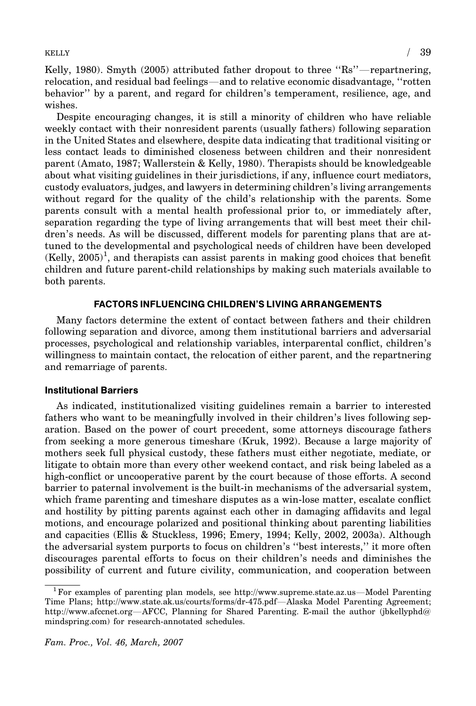Kelly, 1980). Smyth (2005) attributed father dropout to three "Rs"—repartnering, relocation, and residual bad feelings—and to relative economic disadvantage, "rotten behavior'' by a parent, and regard for children's temperament, resilience, age, and wishes.

Despite encouraging changes, it is still a minority of children who have reliable weekly contact with their nonresident parents (usually fathers) following separation in the United States and elsewhere, despite data indicating that traditional visiting or less contact leads to diminished closeness between children and their nonresident parent (Amato, 1987; Wallerstein & Kelly, 1980). Therapists should be knowledgeable about what visiting guidelines in their jurisdictions, if any, influence court mediators, custody evaluators, judges, and lawyers in determining children's living arrangements without regard for the quality of the child's relationship with the parents. Some parents consult with a mental health professional prior to, or immediately after, separation regarding the type of living arrangements that will best meet their children's needs. As will be discussed, different models for parenting plans that are attuned to the developmental and psychological needs of children have been developed  $(Kelly, 2005)^1$ , and therapists can assist parents in making good choices that benefit children and future parent-child relationships by making such materials available to both parents.

# FACTORS INFLUENCING CHILDREN'S LIVING ARRANGEMENTS

Many factors determine the extent of contact between fathers and their children following separation and divorce, among them institutional barriers and adversarial processes, psychological and relationship variables, interparental conflict, children's willingness to maintain contact, the relocation of either parent, and the repartnering and remarriage of parents.

# Institutional Barriers

As indicated, institutionalized visiting guidelines remain a barrier to interested fathers who want to be meaningfully involved in their children's lives following separation. Based on the power of court precedent, some attorneys discourage fathers from seeking a more generous timeshare (Kruk, 1992). Because a large majority of mothers seek full physical custody, these fathers must either negotiate, mediate, or litigate to obtain more than every other weekend contact, and risk being labeled as a high-conflict or uncooperative parent by the court because of those efforts. A second barrier to paternal involvement is the built-in mechanisms of the adversarial system, which frame parenting and timeshare disputes as a win-lose matter, escalate conflict and hostility by pitting parents against each other in damaging affidavits and legal motions, and encourage polarized and positional thinking about parenting liabilities and capacities (Ellis & Stuckless, 1996; Emery, 1994; Kelly, 2002, 2003a). Although the adversarial system purports to focus on children's ''best interests,'' it more often discourages parental efforts to focus on their children's needs and diminishes the possibility of current and future civility, communication, and cooperation between

<sup>&</sup>lt;sup>1</sup> For examples of parenting plan models, see http://www.supreme.state.az.us—Model Parenting Time Plans; http://www.state.ak.us/courts/forms/dr-475.pdf—Alaska Model Parenting Agreement; http://www.afccnet.org-AFCC, Planning for Shared Parenting. E-mail the author (jbkellyphd@ mindspring.com) for research-annotated schedules.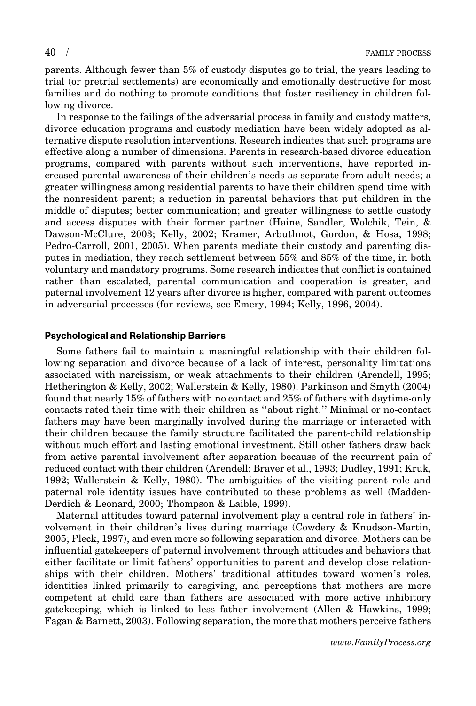parents. Although fewer than 5% of custody disputes go to trial, the years leading to trial (or pretrial settlements) are economically and emotionally destructive for most families and do nothing to promote conditions that foster resiliency in children following divorce.

In response to the failings of the adversarial process in family and custody matters, divorce education programs and custody mediation have been widely adopted as alternative dispute resolution interventions. Research indicates that such programs are effective along a number of dimensions. Parents in research-based divorce education programs, compared with parents without such interventions, have reported increased parental awareness of their children's needs as separate from adult needs; a greater willingness among residential parents to have their children spend time with the nonresident parent; a reduction in parental behaviors that put children in the middle of disputes; better communication; and greater willingness to settle custody and access disputes with their former partner (Haine, Sandler, Wolchik, Tein, & Dawson-McClure, 2003; Kelly, 2002; Kramer, Arbuthnot, Gordon, & Hosa, 1998; Pedro-Carroll, 2001, 2005). When parents mediate their custody and parenting disputes in mediation, they reach settlement between 55% and 85% of the time, in both voluntary and mandatory programs. Some research indicates that conflict is contained rather than escalated, parental communication and cooperation is greater, and paternal involvement 12 years after divorce is higher, compared with parent outcomes in adversarial processes (for reviews, see Emery, 1994; Kelly, 1996, 2004).

#### Psychological and Relationship Barriers

Some fathers fail to maintain a meaningful relationship with their children following separation and divorce because of a lack of interest, personality limitations associated with narcissism, or weak attachments to their children (Arendell, 1995; Hetherington & Kelly, 2002; Wallerstein & Kelly, 1980). Parkinson and Smyth (2004) found that nearly 15% of fathers with no contact and 25% of fathers with daytime-only contacts rated their time with their children as ''about right.'' Minimal or no-contact fathers may have been marginally involved during the marriage or interacted with their children because the family structure facilitated the parent-child relationship without much effort and lasting emotional investment. Still other fathers draw back from active parental involvement after separation because of the recurrent pain of reduced contact with their children (Arendell; Braver et al., 1993; Dudley, 1991; Kruk, 1992; Wallerstein & Kelly, 1980). The ambiguities of the visiting parent role and paternal role identity issues have contributed to these problems as well (Madden-Derdich & Leonard, 2000; Thompson & Laible, 1999).

Maternal attitudes toward paternal involvement play a central role in fathers' involvement in their children's lives during marriage (Cowdery & Knudson-Martin, 2005; Pleck, 1997), and even more so following separation and divorce. Mothers can be influential gatekeepers of paternal involvement through attitudes and behaviors that either facilitate or limit fathers' opportunities to parent and develop close relationships with their children. Mothers' traditional attitudes toward women's roles, identities linked primarily to caregiving, and perceptions that mothers are more competent at child care than fathers are associated with more active inhibitory gatekeeping, which is linked to less father involvement (Allen & Hawkins, 1999; Fagan & Barnett, 2003). Following separation, the more that mothers perceive fathers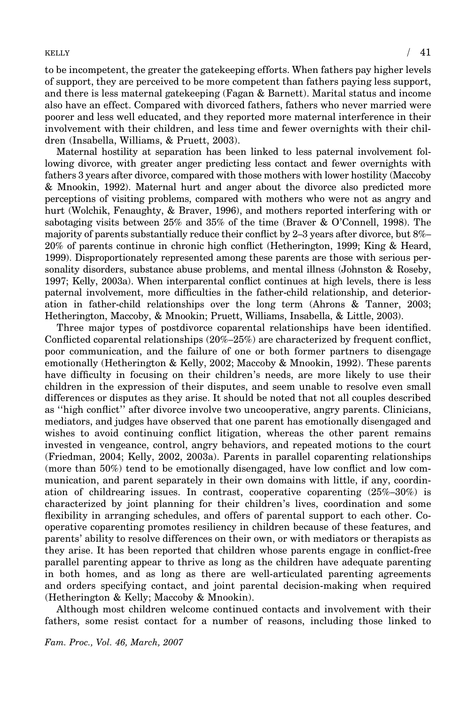KELLY  $\vert$  41

to be incompetent, the greater the gatekeeping efforts. When fathers pay higher levels of support, they are perceived to be more competent than fathers paying less support, and there is less maternal gatekeeping (Fagan & Barnett). Marital status and income also have an effect. Compared with divorced fathers, fathers who never married were poorer and less well educated, and they reported more maternal interference in their involvement with their children, and less time and fewer overnights with their children (Insabella, Williams, & Pruett, 2003).

Maternal hostility at separation has been linked to less paternal involvement following divorce, with greater anger predicting less contact and fewer overnights with fathers 3 years after divorce, compared with those mothers with lower hostility (Maccoby & Mnookin, 1992). Maternal hurt and anger about the divorce also predicted more perceptions of visiting problems, compared with mothers who were not as angry and hurt (Wolchik, Fenaughty, & Braver, 1996), and mothers reported interfering with or sabotaging visits between 25% and 35% of the time (Braver & O'Connell, 1998). The majority of parents substantially reduce their conflict by 2–3 years after divorce, but 8%– 20% of parents continue in chronic high conflict (Hetherington, 1999; King & Heard, 1999). Disproportionately represented among these parents are those with serious personality disorders, substance abuse problems, and mental illness (Johnston & Roseby, 1997; Kelly, 2003a). When interparental conflict continues at high levels, there is less paternal involvement, more difficulties in the father-child relationship, and deterioration in father-child relationships over the long term (Ahrons & Tanner, 2003; Hetherington, Maccoby, & Mnookin; Pruett, Williams, Insabella, & Little, 2003).

Three major types of postdivorce coparental relationships have been identified. Conflicted coparental relationships (20%–25%) are characterized by frequent conflict, poor communication, and the failure of one or both former partners to disengage emotionally (Hetherington & Kelly, 2002; Maccoby & Mnookin, 1992). These parents have difficulty in focusing on their children's needs, are more likely to use their children in the expression of their disputes, and seem unable to resolve even small differences or disputes as they arise. It should be noted that not all couples described as ''high conflict'' after divorce involve two uncooperative, angry parents. Clinicians, mediators, and judges have observed that one parent has emotionally disengaged and wishes to avoid continuing conflict litigation, whereas the other parent remains invested in vengeance, control, angry behaviors, and repeated motions to the court (Friedman, 2004; Kelly, 2002, 2003a). Parents in parallel coparenting relationships (more than 50%) tend to be emotionally disengaged, have low conflict and low communication, and parent separately in their own domains with little, if any, coordination of childrearing issues. In contrast, cooperative coparenting (25%–30%) is characterized by joint planning for their children's lives, coordination and some flexibility in arranging schedules, and offers of parental support to each other. Cooperative coparenting promotes resiliency in children because of these features, and parents' ability to resolve differences on their own, or with mediators or therapists as they arise. It has been reported that children whose parents engage in conflict-free parallel parenting appear to thrive as long as the children have adequate parenting in both homes, and as long as there are well-articulated parenting agreements and orders specifying contact, and joint parental decision-making when required (Hetherington & Kelly; Maccoby & Mnookin).

Although most children welcome continued contacts and involvement with their fathers, some resist contact for a number of reasons, including those linked to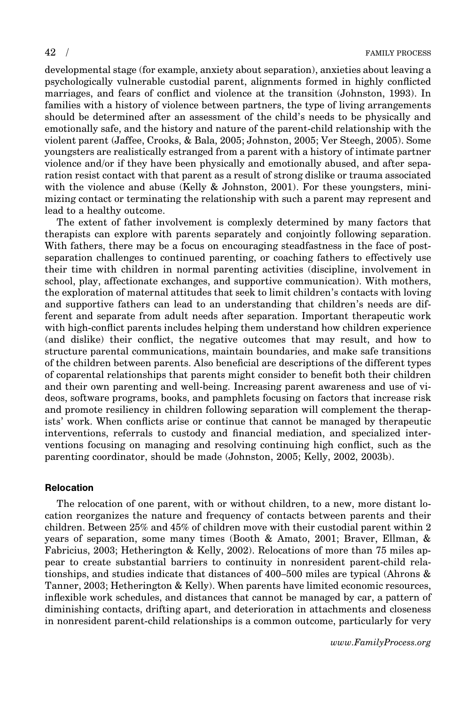developmental stage (for example, anxiety about separation), anxieties about leaving a psychologically vulnerable custodial parent, alignments formed in highly conflicted marriages, and fears of conflict and violence at the transition (Johnston, 1993). In families with a history of violence between partners, the type of living arrangements should be determined after an assessment of the child's needs to be physically and emotionally safe, and the history and nature of the parent-child relationship with the violent parent (Jaffee, Crooks, & Bala, 2005; Johnston, 2005; Ver Steegh, 2005). Some youngsters are realistically estranged from a parent with a history of intimate partner violence and/or if they have been physically and emotionally abused, and after separation resist contact with that parent as a result of strong dislike or trauma associated with the violence and abuse (Kelly & Johnston, 2001). For these youngsters, minimizing contact or terminating the relationship with such a parent may represent and lead to a healthy outcome.

The extent of father involvement is complexly determined by many factors that therapists can explore with parents separately and conjointly following separation. With fathers, there may be a focus on encouraging steadfastness in the face of postseparation challenges to continued parenting, or coaching fathers to effectively use their time with children in normal parenting activities (discipline, involvement in school, play, affectionate exchanges, and supportive communication). With mothers, the exploration of maternal attitudes that seek to limit children's contacts with loving and supportive fathers can lead to an understanding that children's needs are different and separate from adult needs after separation. Important therapeutic work with high-conflict parents includes helping them understand how children experience (and dislike) their conflict, the negative outcomes that may result, and how to structure parental communications, maintain boundaries, and make safe transitions of the children between parents. Also beneficial are descriptions of the different types of coparental relationships that parents might consider to benefit both their children and their own parenting and well-being. Increasing parent awareness and use of videos, software programs, books, and pamphlets focusing on factors that increase risk and promote resiliency in children following separation will complement the therapists' work. When conflicts arise or continue that cannot be managed by therapeutic interventions, referrals to custody and financial mediation, and specialized interventions focusing on managing and resolving continuing high conflict, such as the parenting coordinator, should be made (Johnston, 2005; Kelly, 2002, 2003b).

#### Relocation

The relocation of one parent, with or without children, to a new, more distant location reorganizes the nature and frequency of contacts between parents and their children. Between 25% and 45% of children move with their custodial parent within 2 years of separation, some many times (Booth & Amato, 2001; Braver, Ellman, & Fabricius, 2003; Hetherington & Kelly, 2002). Relocations of more than 75 miles appear to create substantial barriers to continuity in nonresident parent-child relationships, and studies indicate that distances of 400–500 miles are typical (Ahrons & Tanner, 2003; Hetherington & Kelly). When parents have limited economic resources, inflexible work schedules, and distances that cannot be managed by car, a pattern of diminishing contacts, drifting apart, and deterioration in attachments and closeness in nonresident parent-child relationships is a common outcome, particularly for very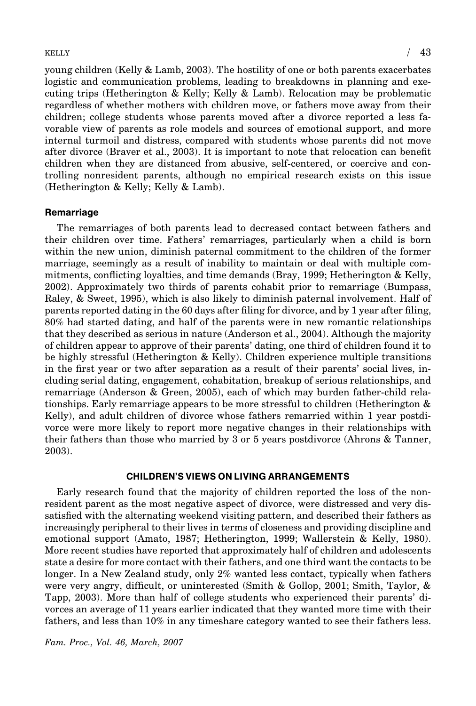### KELLY  $\vert$  43

young children (Kelly & Lamb, 2003). The hostility of one or both parents exacerbates logistic and communication problems, leading to breakdowns in planning and executing trips (Hetherington & Kelly; Kelly & Lamb). Relocation may be problematic regardless of whether mothers with children move, or fathers move away from their children; college students whose parents moved after a divorce reported a less favorable view of parents as role models and sources of emotional support, and more internal turmoil and distress, compared with students whose parents did not move after divorce (Braver et al., 2003). It is important to note that relocation can benefit children when they are distanced from abusive, self-centered, or coercive and controlling nonresident parents, although no empirical research exists on this issue (Hetherington & Kelly; Kelly & Lamb).

### Remarriage

The remarriages of both parents lead to decreased contact between fathers and their children over time. Fathers' remarriages, particularly when a child is born within the new union, diminish paternal commitment to the children of the former marriage, seemingly as a result of inability to maintain or deal with multiple commitments, conflicting loyalties, and time demands (Bray, 1999; Hetherington & Kelly, 2002). Approximately two thirds of parents cohabit prior to remarriage (Bumpass, Raley, & Sweet, 1995), which is also likely to diminish paternal involvement. Half of parents reported dating in the 60 days after filing for divorce, and by 1 year after filing, 80% had started dating, and half of the parents were in new romantic relationships that they described as serious in nature (Anderson et al., 2004). Although the majority of children appear to approve of their parents' dating, one third of children found it to be highly stressful (Hetherington & Kelly). Children experience multiple transitions in the first year or two after separation as a result of their parents' social lives, including serial dating, engagement, cohabitation, breakup of serious relationships, and remarriage (Anderson & Green, 2005), each of which may burden father-child relationships. Early remarriage appears to be more stressful to children (Hetherington & Kelly), and adult children of divorce whose fathers remarried within 1 year postdivorce were more likely to report more negative changes in their relationships with their fathers than those who married by 3 or 5 years postdivorce (Ahrons & Tanner, 2003).

#### CHILDREN'S VIEWS ON LIVING ARRANGEMENTS

Early research found that the majority of children reported the loss of the nonresident parent as the most negative aspect of divorce, were distressed and very dissatisfied with the alternating weekend visiting pattern, and described their fathers as increasingly peripheral to their lives in terms of closeness and providing discipline and emotional support (Amato, 1987; Hetherington, 1999; Wallerstein & Kelly, 1980). More recent studies have reported that approximately half of children and adolescents state a desire for more contact with their fathers, and one third want the contacts to be longer. In a New Zealand study, only 2% wanted less contact, typically when fathers were very angry, difficult, or uninterested (Smith & Gollop, 2001; Smith, Taylor, & Tapp, 2003). More than half of college students who experienced their parents' divorces an average of 11 years earlier indicated that they wanted more time with their fathers, and less than 10% in any timeshare category wanted to see their fathers less.

Fam. Proc., Vol. 46, March, 2007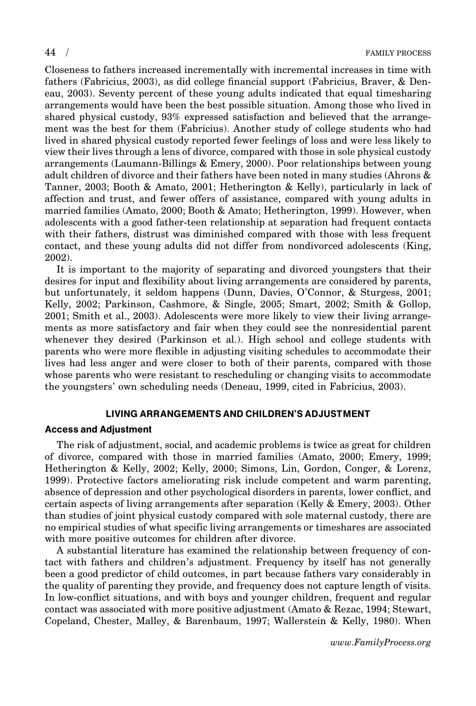Closeness to fathers increased incrementally with incremental increases in time with fathers (Fabricius, 2003), as did college financial support (Fabricius, Braver, & Deneau, 2003). Seventy percent of these young adults indicated that equal timesharing arrangements would have been the best possible situation. Among those who lived in shared physical custody, 93% expressed satisfaction and believed that the arrangement was the best for them (Fabricius). Another study of college students who had lived in shared physical custody reported fewer feelings of loss and were less likely to view their lives through a lens of divorce, compared with those in sole physical custody arrangements (Laumann-Billings & Emery, 2000). Poor relationships between young adult children of divorce and their fathers have been noted in many studies (Ahrons & Tanner, 2003; Booth & Amato, 2001; Hetherington & Kelly), particularly in lack of affection and trust, and fewer offers of assistance, compared with young adults in married families (Amato, 2000; Booth & Amato; Hetherington, 1999). However, when adolescents with a good father-teen relationship at separation had frequent contacts with their fathers, distrust was diminished compared with those with less frequent contact, and these young adults did not differ from nondivorced adolescents (King, 2002).

It is important to the majority of separating and divorced youngsters that their desires for input and flexibility about living arrangements are considered by parents, but unfortunately, it seldom happens (Dunn, Davies, O'Connor, & Sturgess, 2001; Kelly, 2002; Parkinson, Cashmore, & Single, 2005; Smart, 2002; Smith & Gollop, 2001; Smith et al., 2003). Adolescents were more likely to view their living arrangements as more satisfactory and fair when they could see the nonresidential parent whenever they desired (Parkinson et al.). High school and college students with parents who were more flexible in adjusting visiting schedules to accommodate their lives had less anger and were closer to both of their parents, compared with those whose parents who were resistant to rescheduling or changing visits to accommodate the youngsters' own scheduling needs (Deneau, 1999, cited in Fabricius, 2003).

#### LIVING ARRANGEMENTS AND CHILDREN'S ADJUSTMENT

#### Access and Adjustment

The risk of adjustment, social, and academic problems is twice as great for children of divorce, compared with those in married families (Amato, 2000; Emery, 1999; Hetherington & Kelly, 2002; Kelly, 2000; Simons, Lin, Gordon, Conger, & Lorenz, 1999). Protective factors ameliorating risk include competent and warm parenting, absence of depression and other psychological disorders in parents, lower conflict, and certain aspects of living arrangements after separation (Kelly & Emery, 2003). Other than studies of joint physical custody compared with sole maternal custody, there are no empirical studies of what specific living arrangements or timeshares are associated with more positive outcomes for children after divorce.

A substantial literature has examined the relationship between frequency of contact with fathers and children's adjustment. Frequency by itself has not generally been a good predictor of child outcomes, in part because fathers vary considerably in the quality of parenting they provide, and frequency does not capture length of visits. In low-conflict situations, and with boys and younger children, frequent and regular contact was associated with more positive adjustment (Amato & Rezac, 1994; Stewart, Copeland, Chester, Malley, & Barenbaum, 1997; Wallerstein & Kelly, 1980). When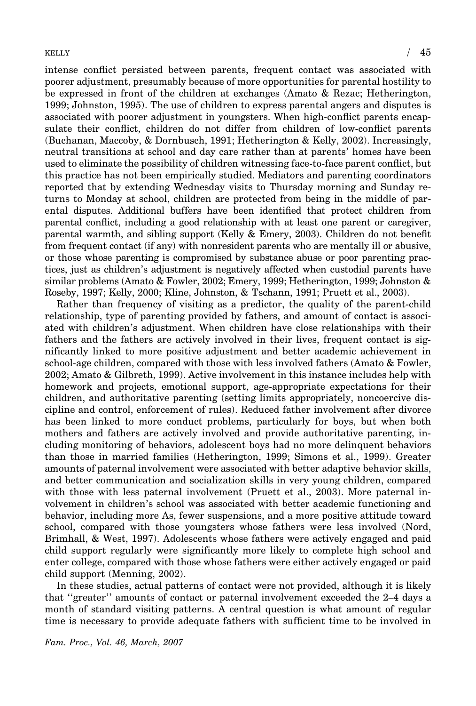KELLY  $\vert$  45

intense conflict persisted between parents, frequent contact was associated with poorer adjustment, presumably because of more opportunities for parental hostility to be expressed in front of the children at exchanges (Amato & Rezac; Hetherington, 1999; Johnston, 1995). The use of children to express parental angers and disputes is associated with poorer adjustment in youngsters. When high-conflict parents encapsulate their conflict, children do not differ from children of low-conflict parents (Buchanan, Maccoby, & Dornbusch, 1991; Hetherington & Kelly, 2002). Increasingly, neutral transitions at school and day care rather than at parents' homes have been used to eliminate the possibility of children witnessing face-to-face parent conflict, but this practice has not been empirically studied. Mediators and parenting coordinators reported that by extending Wednesday visits to Thursday morning and Sunday returns to Monday at school, children are protected from being in the middle of parental disputes. Additional buffers have been identified that protect children from parental conflict, including a good relationship with at least one parent or caregiver, parental warmth, and sibling support (Kelly & Emery, 2003). Children do not benefit from frequent contact (if any) with nonresident parents who are mentally ill or abusive, or those whose parenting is compromised by substance abuse or poor parenting practices, just as children's adjustment is negatively affected when custodial parents have similar problems (Amato & Fowler, 2002; Emery, 1999; Hetherington, 1999; Johnston & Roseby, 1997; Kelly, 2000; Kline, Johnston, & Tschann, 1991; Pruett et al., 2003).

Rather than frequency of visiting as a predictor, the quality of the parent-child relationship, type of parenting provided by fathers, and amount of contact is associated with children's adjustment. When children have close relationships with their fathers and the fathers are actively involved in their lives, frequent contact is significantly linked to more positive adjustment and better academic achievement in school-age children, compared with those with less involved fathers (Amato & Fowler, 2002; Amato & Gilbreth, 1999). Active involvement in this instance includes help with homework and projects, emotional support, age-appropriate expectations for their children, and authoritative parenting (setting limits appropriately, noncoercive discipline and control, enforcement of rules). Reduced father involvement after divorce has been linked to more conduct problems, particularly for boys, but when both mothers and fathers are actively involved and provide authoritative parenting, including monitoring of behaviors, adolescent boys had no more delinquent behaviors than those in married families (Hetherington, 1999; Simons et al., 1999). Greater amounts of paternal involvement were associated with better adaptive behavior skills, and better communication and socialization skills in very young children, compared with those with less paternal involvement (Pruett et al., 2003). More paternal involvement in children's school was associated with better academic functioning and behavior, including more As, fewer suspensions, and a more positive attitude toward school, compared with those youngsters whose fathers were less involved (Nord, Brimhall, & West, 1997). Adolescents whose fathers were actively engaged and paid child support regularly were significantly more likely to complete high school and enter college, compared with those whose fathers were either actively engaged or paid child support (Menning, 2002).

In these studies, actual patterns of contact were not provided, although it is likely that ''greater'' amounts of contact or paternal involvement exceeded the 2–4 days a month of standard visiting patterns. A central question is what amount of regular time is necessary to provide adequate fathers with sufficient time to be involved in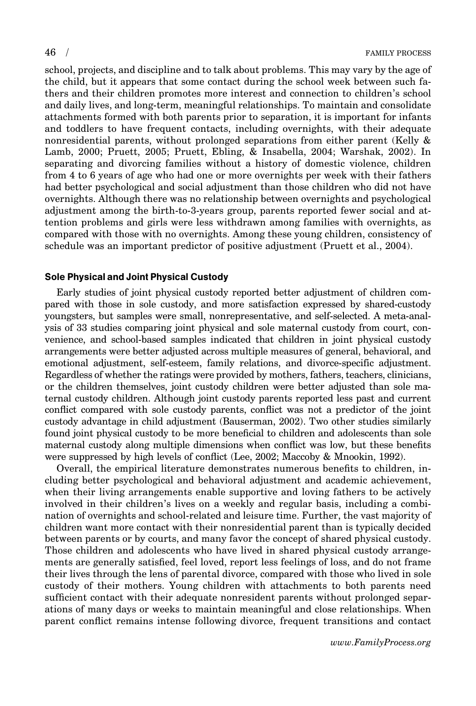school, projects, and discipline and to talk about problems. This may vary by the age of the child, but it appears that some contact during the school week between such fathers and their children promotes more interest and connection to children's school and daily lives, and long-term, meaningful relationships. To maintain and consolidate attachments formed with both parents prior to separation, it is important for infants and toddlers to have frequent contacts, including overnights, with their adequate nonresidential parents, without prolonged separations from either parent (Kelly & Lamb, 2000; Pruett, 2005; Pruett, Ebling, & Insabella, 2004; Warshak, 2002). In separating and divorcing families without a history of domestic violence, children from 4 to 6 years of age who had one or more overnights per week with their fathers had better psychological and social adjustment than those children who did not have overnights. Although there was no relationship between overnights and psychological adjustment among the birth-to-3-years group, parents reported fewer social and attention problems and girls were less withdrawn among families with overnights, as compared with those with no overnights. Among these young children, consistency of schedule was an important predictor of positive adjustment (Pruett et al., 2004).

### Sole Physical and Joint Physical Custody

Early studies of joint physical custody reported better adjustment of children compared with those in sole custody, and more satisfaction expressed by shared-custody youngsters, but samples were small, nonrepresentative, and self-selected. A meta-analysis of 33 studies comparing joint physical and sole maternal custody from court, convenience, and school-based samples indicated that children in joint physical custody arrangements were better adjusted across multiple measures of general, behavioral, and emotional adjustment, self-esteem, family relations, and divorce-specific adjustment. Regardless of whether the ratings were provided by mothers, fathers, teachers, clinicians, or the children themselves, joint custody children were better adjusted than sole maternal custody children. Although joint custody parents reported less past and current conflict compared with sole custody parents, conflict was not a predictor of the joint custody advantage in child adjustment (Bauserman, 2002). Two other studies similarly found joint physical custody to be more beneficial to children and adolescents than sole maternal custody along multiple dimensions when conflict was low, but these benefits were suppressed by high levels of conflict (Lee, 2002; Maccoby & Mnookin, 1992).

Overall, the empirical literature demonstrates numerous benefits to children, including better psychological and behavioral adjustment and academic achievement, when their living arrangements enable supportive and loving fathers to be actively involved in their children's lives on a weekly and regular basis, including a combination of overnights and school-related and leisure time. Further, the vast majority of children want more contact with their nonresidential parent than is typically decided between parents or by courts, and many favor the concept of shared physical custody. Those children and adolescents who have lived in shared physical custody arrangements are generally satisfied, feel loved, report less feelings of loss, and do not frame their lives through the lens of parental divorce, compared with those who lived in sole custody of their mothers. Young children with attachments to both parents need sufficient contact with their adequate nonresident parents without prolonged separations of many days or weeks to maintain meaningful and close relationships. When parent conflict remains intense following divorce, frequent transitions and contact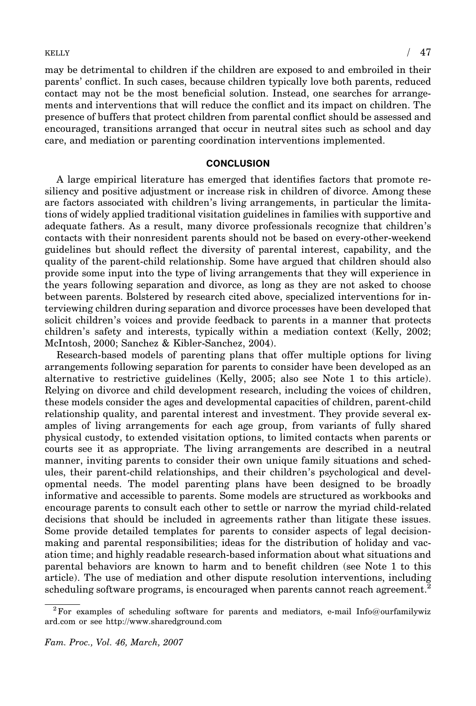may be detrimental to children if the children are exposed to and embroiled in their parents' conflict. In such cases, because children typically love both parents, reduced contact may not be the most beneficial solution. Instead, one searches for arrangements and interventions that will reduce the conflict and its impact on children. The presence of buffers that protect children from parental conflict should be assessed and encouraged, transitions arranged that occur in neutral sites such as school and day care, and mediation or parenting coordination interventions implemented.

## **CONCLUSION**

A large empirical literature has emerged that identifies factors that promote resiliency and positive adjustment or increase risk in children of divorce. Among these are factors associated with children's living arrangements, in particular the limitations of widely applied traditional visitation guidelines in families with supportive and adequate fathers. As a result, many divorce professionals recognize that children's contacts with their nonresident parents should not be based on every-other-weekend guidelines but should reflect the diversity of parental interest, capability, and the quality of the parent-child relationship. Some have argued that children should also provide some input into the type of living arrangements that they will experience in the years following separation and divorce, as long as they are not asked to choose between parents. Bolstered by research cited above, specialized interventions for interviewing children during separation and divorce processes have been developed that solicit children's voices and provide feedback to parents in a manner that protects children's safety and interests, typically within a mediation context (Kelly, 2002; McIntosh, 2000; Sanchez & Kibler-Sanchez, 2004).

Research-based models of parenting plans that offer multiple options for living arrangements following separation for parents to consider have been developed as an alternative to restrictive guidelines (Kelly, 2005; also see Note 1 to this article). Relying on divorce and child development research, including the voices of children, these models consider the ages and developmental capacities of children, parent-child relationship quality, and parental interest and investment. They provide several examples of living arrangements for each age group, from variants of fully shared physical custody, to extended visitation options, to limited contacts when parents or courts see it as appropriate. The living arrangements are described in a neutral manner, inviting parents to consider their own unique family situations and schedules, their parent-child relationships, and their children's psychological and developmental needs. The model parenting plans have been designed to be broadly informative and accessible to parents. Some models are structured as workbooks and encourage parents to consult each other to settle or narrow the myriad child-related decisions that should be included in agreements rather than litigate these issues. Some provide detailed templates for parents to consider aspects of legal decisionmaking and parental responsibilities; ideas for the distribution of holiday and vacation time; and highly readable research-based information about what situations and parental behaviors are known to harm and to benefit children (see Note 1 to this article). The use of mediation and other dispute resolution interventions, including scheduling software programs, is encouraged when parents cannot reach agreement.<sup>2</sup>

 ${}^{2}$  For examples of scheduling software for parents and mediators, e-mail Info@ourfamilywiz ard.com or see http://www.sharedground.com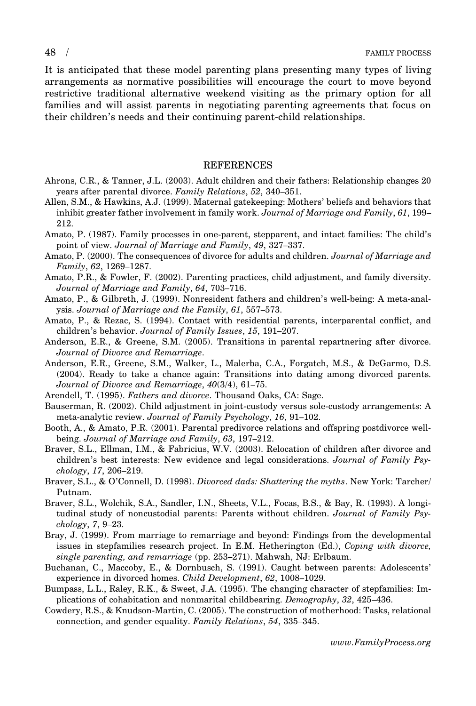It is anticipated that these model parenting plans presenting many types of living arrangements as normative possibilities will encourage the court to move beyond restrictive traditional alternative weekend visiting as the primary option for all families and will assist parents in negotiating parenting agreements that focus on their children's needs and their continuing parent-child relationships.

#### REFERENCES

- Ahrons, C.R., & Tanner, J.L. (2003). Adult children and their fathers: Relationship changes 20 years after parental divorce. Family Relations, 52, 340-351.
- Allen, S.M., & Hawkins, A.J. (1999). Maternal gatekeeping: Mothers' beliefs and behaviors that inhibit greater father involvement in family work. Journal of Marriage and Family, 61, 199-212.
- Amato, P. (1987). Family processes in one-parent, stepparent, and intact families: The child's point of view. Journal of Marriage and Family, 49, 327–337.
- Amato, P. (2000). The consequences of divorce for adults and children. Journal of Marriage and Family, 62, 1269–1287.
- Amato, P.R., & Fowler, F. (2002). Parenting practices, child adjustment, and family diversity. Journal of Marriage and Family, 64, 703–716.
- Amato, P., & Gilbreth, J. (1999). Nonresident fathers and children's well-being: A meta-analysis. Journal of Marriage and the Family, 61, 557–573.
- Amato, P., & Rezac, S. (1994). Contact with residential parents, interparental conflict, and children's behavior. Journal of Family Issues, 15, 191–207.
- Anderson, E.R., & Greene, S.M. (2005). Transitions in parental repartnering after divorce. Journal of Divorce and Remarriage.
- Anderson, E.R., Greene, S.M., Walker, L., Malerba, C.A., Forgatch, M.S., & DeGarmo, D.S. (2004). Ready to take a chance again: Transitions into dating among divorced parents. Journal of Divorce and Remarriage, 40(3/4), 61–75.
- Arendell, T. (1995). Fathers and divorce. Thousand Oaks, CA: Sage.
- Bauserman, R. (2002). Child adjustment in joint-custody versus sole-custody arrangements: A meta-analytic review. Journal of Family Psychology, 16, 91–102.
- Booth, A., & Amato, P.R. (2001). Parental predivorce relations and offspring postdivorce wellbeing. Journal of Marriage and Family, 63, 197–212.
- Braver, S.L., Ellman, I.M., & Fabricius, W.V. (2003). Relocation of children after divorce and children's best interests: New evidence and legal considerations. Journal of Family Psychology, 17, 206–219.
- Braver, S.L., & O'Connell, D. (1998). Divorced dads: Shattering the myths. New York: Tarcher/ Putnam.
- Braver, S.L., Wolchik, S.A., Sandler, I.N., Sheets, V.L., Focas, B.S., & Bay, R. (1993). A longitudinal study of noncustodial parents: Parents without children. Journal of Family Psychology, 7, 9–23.
- Bray, J. (1999). From marriage to remarriage and beyond: Findings from the developmental issues in stepfamilies research project. In E.M. Hetherington (Ed.), Coping with divorce, single parenting, and remarriage (pp. 253–271). Mahwah, NJ: Erlbaum.
- Buchanan, C., Maccoby, E., & Dornbusch, S. (1991). Caught between parents: Adolescents' experience in divorced homes. Child Development, 62, 1008-1029.
- Bumpass, L.L., Raley, R.K., & Sweet, J.A. (1995). The changing character of stepfamilies: Implications of cohabitation and nonmarital childbearing. Demography, 32, 425–436.
- Cowdery, R.S., & Knudson-Martin, C. (2005). The construction of motherhood: Tasks, relational connection, and gender equality. Family Relations, 54, 335–345.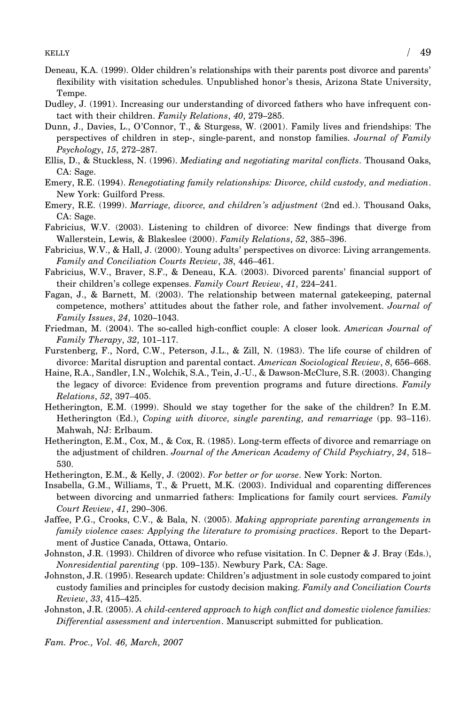- Deneau, K.A. (1999). Older children's relationships with their parents post divorce and parents' flexibility with visitation schedules. Unpublished honor's thesis, Arizona State University, Tempe.
- Dudley, J. (1991). Increasing our understanding of divorced fathers who have infrequent contact with their children. Family Relations, 40, 279–285.
- Dunn, J., Davies, L., O'Connor, T., & Sturgess, W. (2001). Family lives and friendships: The perspectives of children in step-, single-parent, and nonstop families. Journal of Family Psychology, 15, 272–287.
- Ellis, D., & Stuckless, N. (1996). Mediating and negotiating marital conflicts. Thousand Oaks, CA: Sage.
- Emery, R.E. (1994). Renegotiating family relationships: Divorce, child custody, and mediation. New York: Guilford Press.
- Emery, R.E. (1999). Marriage, divorce, and children's adjustment (2nd ed.). Thousand Oaks, CA: Sage.
- Fabricius, W.V. (2003). Listening to children of divorce: New findings that diverge from Wallerstein, Lewis, & Blakeslee (2000). Family Relations, 52, 385-396.
- Fabricius, W.V., & Hall, J. (2000). Young adults' perspectives on divorce: Living arrangements. Family and Conciliation Courts Review, 38, 446–461.
- Fabricius, W.V., Braver, S.F., & Deneau, K.A. (2003). Divorced parents' financial support of their children's college expenses. Family Court Review, 41, 224-241.
- Fagan, J., & Barnett, M. (2003). The relationship between maternal gatekeeping, paternal competence, mothers' attitudes about the father role, and father involvement. Journal of Family Issues, 24, 1020–1043.
- Friedman, M. (2004). The so-called high-conflict couple: A closer look. American Journal of Family Therapy, 32, 101–117.
- Furstenberg, F., Nord, C.W., Peterson, J.L., & Zill, N. (1983). The life course of children of divorce: Marital disruption and parental contact. American Sociological Review, 8, 656–668.
- Haine, R.A., Sandler, I.N., Wolchik, S.A., Tein, J.-U., & Dawson-McClure, S.R. (2003). Changing the legacy of divorce: Evidence from prevention programs and future directions. Family Relations, 52, 397–405.
- Hetherington, E.M. (1999). Should we stay together for the sake of the children? In E.M. Hetherington (Ed.), Coping with divorce, single parenting, and remarriage (pp. 93-116). Mahwah, NJ: Erlbaum.
- Hetherington, E.M., Cox, M., & Cox, R. (1985). Long-term effects of divorce and remarriage on the adjustment of children. Journal of the American Academy of Child Psychiatry, 24, 518– 530.
- Hetherington, E.M., & Kelly, J. (2002). For better or for worse. New York: Norton.
- Insabella, G.M., Williams, T., & Pruett, M.K. (2003). Individual and coparenting differences between divorcing and unmarried fathers: Implications for family court services. Family Court Review, 41, 290–306.
- Jaffee, P.G., Crooks, C.V., & Bala, N. (2005). Making appropriate parenting arrangements in family violence cases: Applying the literature to promising practices. Report to the Department of Justice Canada, Ottawa, Ontario.
- Johnston, J.R. (1993). Children of divorce who refuse visitation. In C. Depner & J. Bray (Eds.), Nonresidential parenting (pp. 109–135). Newbury Park, CA: Sage.
- Johnston, J.R. (1995). Research update: Children's adjustment in sole custody compared to joint custody families and principles for custody decision making. Family and Conciliation Courts Review, 33, 415–425.
- Johnston, J.R. (2005). A child-centered approach to high conflict and domestic violence families: Differential assessment and intervention. Manuscript submitted for publication.

Fam. Proc., Vol. 46, March, 2007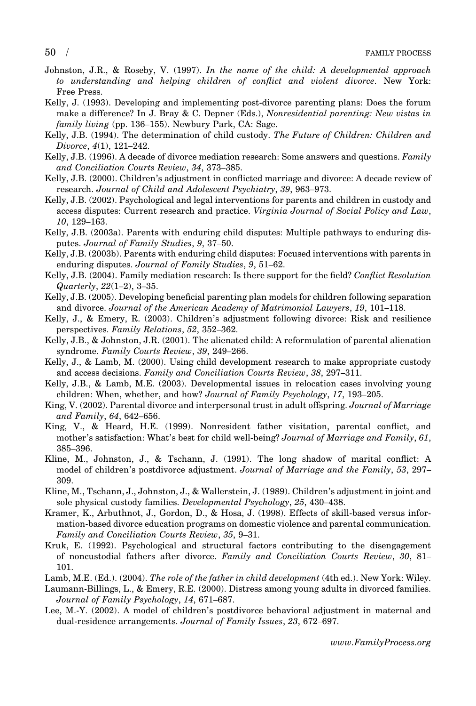- Johnston, J.R., & Roseby, V. (1997). In the name of the child: A developmental approach to understanding and helping children of conflict and violent divorce. New York: Free Press.
- Kelly, J. (1993). Developing and implementing post-divorce parenting plans: Does the forum make a difference? In J. Bray & C. Depner (Eds.), Nonresidential parenting: New vistas in family living (pp. 136–155). Newbury Park, CA: Sage.
- Kelly, J.B. (1994). The determination of child custody. The Future of Children: Children and Divorce, 4(1), 121–242.
- Kelly, J.B. (1996). A decade of divorce mediation research: Some answers and questions. Family and Conciliation Courts Review, 34, 373–385.
- Kelly, J.B. (2000). Children's adjustment in conflicted marriage and divorce: A decade review of research. Journal of Child and Adolescent Psychiatry, 39, 963–973.
- Kelly, J.B. (2002). Psychological and legal interventions for parents and children in custody and access disputes: Current research and practice. Virginia Journal of Social Policy and Law, 10, 129–163.
- Kelly, J.B. (2003a). Parents with enduring child disputes: Multiple pathways to enduring disputes. Journal of Family Studies, 9, 37-50.
- Kelly, J.B. (2003b). Parents with enduring child disputes: Focused interventions with parents in enduring disputes. Journal of Family Studies, 9, 51–62.
- Kelly, J.B. (2004). Family mediation research: Is there support for the field? Conflict Resolution  $Quarterly, 22(1-2), 3-35.$
- Kelly, J.B. (2005). Developing beneficial parenting plan models for children following separation and divorce. Journal of the American Academy of Matrimonial Lawyers, 19, 101–118.
- Kelly, J., & Emery, R. (2003). Children's adjustment following divorce: Risk and resilience perspectives. Family Relations, 52, 352–362.
- Kelly, J.B., & Johnston, J.R. (2001). The alienated child: A reformulation of parental alienation syndrome. Family Courts Review, 39, 249–266.
- Kelly, J., & Lamb, M. (2000). Using child development research to make appropriate custody and access decisions. Family and Conciliation Courts Review, 38, 297–311.
- Kelly, J.B., & Lamb, M.E. (2003). Developmental issues in relocation cases involving young children: When, whether, and how? Journal of Family Psychology, 17, 193-205.
- King, V. (2002). Parental divorce and interpersonal trust in adult offspring. Journal of Marriage and Family, 64, 642–656.
- King, V., & Heard, H.E. (1999). Nonresident father visitation, parental conflict, and mother's satisfaction: What's best for child well-being? Journal of Marriage and Family, 61, 385–396.
- Kline, M., Johnston, J., & Tschann, J. (1991). The long shadow of marital conflict: A model of children's postdivorce adjustment. Journal of Marriage and the Family, 53, 297– 309.
- Kline, M., Tschann, J., Johnston, J., & Wallerstein, J. (1989). Children's adjustment in joint and sole physical custody families. Developmental Psychology, 25, 430–438.
- Kramer, K., Arbuthnot, J., Gordon, D., & Hosa, J. (1998). Effects of skill-based versus information-based divorce education programs on domestic violence and parental communication. Family and Conciliation Courts Review, 35, 9–31.
- Kruk, E. (1992). Psychological and structural factors contributing to the disengagement of noncustodial fathers after divorce. Family and Conciliation Courts Review, 30, 81– 101.
- Lamb, M.E. (Ed.). (2004). The role of the father in child development (4th ed.). New York: Wiley.
- Laumann-Billings, L., & Emery, R.E. (2000). Distress among young adults in divorced families. Journal of Family Psychology, 14, 671–687.
- Lee, M.-Y. (2002). A model of children's postdivorce behavioral adjustment in maternal and dual-residence arrangements. Journal of Family Issues, 23, 672-697.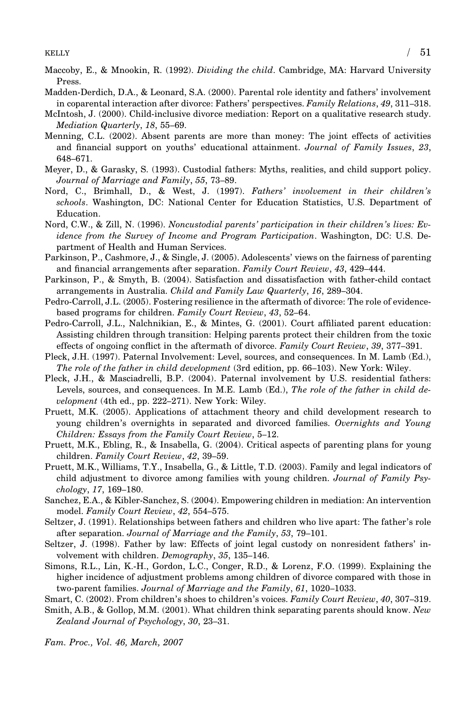- Maccoby, E., & Mnookin, R. (1992). Dividing the child. Cambridge, MA: Harvard University Press.
- Madden-Derdich, D.A., & Leonard, S.A. (2000). Parental role identity and fathers' involvement in coparental interaction after divorce: Fathers' perspectives. Family Relations, 49, 311-318.
- McIntosh, J. (2000). Child-inclusive divorce mediation: Report on a qualitative research study. Mediation Quarterly, 18, 55–69.
- Menning, C.L. (2002). Absent parents are more than money: The joint effects of activities and financial support on youths' educational attainment. Journal of Family Issues, 23, 648–671.
- Meyer, D., & Garasky, S. (1993). Custodial fathers: Myths, realities, and child support policy. Journal of Marriage and Family, 55, 73–89.
- Nord, C., Brimhall, D., & West, J. (1997). Fathers' involvement in their children's schools. Washington, DC: National Center for Education Statistics, U.S. Department of Education.
- Nord, C.W., & Zill, N. (1996). Noncustodial parents' participation in their children's lives: Evidence from the Survey of Income and Program Participation. Washington, DC: U.S. Department of Health and Human Services.
- Parkinson, P., Cashmore, J., & Single, J. (2005). Adolescents' views on the fairness of parenting and financial arrangements after separation. Family Court Review, 43, 429-444.
- Parkinson, P., & Smyth, B. (2004). Satisfaction and dissatisfaction with father-child contact arrangements in Australia. Child and Family Law Quarterly, 16, 289–304.
- Pedro-Carroll, J.L. (2005). Fostering resilience in the aftermath of divorce: The role of evidencebased programs for children. Family Court Review, 43, 52–64.
- Pedro-Carroll, J.L., Nalchnikian, E., & Mintes, G. (2001). Court affiliated parent education: Assisting children through transition: Helping parents protect their children from the toxic effects of ongoing conflict in the aftermath of divorce. Family Court Review, 39, 377–391.
- Pleck, J.H. (1997). Paternal Involvement: Level, sources, and consequences. In M. Lamb (Ed.), The role of the father in child development (3rd edition, pp. 66–103). New York: Wiley.
- Pleck, J.H., & Masciadrelli, B.P. (2004). Paternal involvement by U.S. residential fathers: Levels, sources, and consequences. In M.E. Lamb (Ed.), The role of the father in child development (4th ed., pp. 222-271). New York: Wiley.
- Pruett, M.K. (2005). Applications of attachment theory and child development research to young children's overnights in separated and divorced families. Overnights and Young Children: Essays from the Family Court Review, 5–12.
- Pruett, M.K., Ebling, R., & Insabella, G. (2004). Critical aspects of parenting plans for young children. Family Court Review, 42, 39–59.
- Pruett, M.K., Williams, T.Y., Insabella, G., & Little, T.D. (2003). Family and legal indicators of child adjustment to divorce among families with young children. Journal of Family Psychology, 17, 169–180.
- Sanchez, E.A., & Kibler-Sanchez, S. (2004). Empowering children in mediation: An intervention model. Family Court Review, 42, 554–575.
- Seltzer, J. (1991). Relationships between fathers and children who live apart: The father's role after separation. Journal of Marriage and the Family, 53, 79–101.
- Seltzer, J. (1998). Father by law: Effects of joint legal custody on nonresident fathers' involvement with children. Demography, 35, 135–146.
- Simons, R.L., Lin, K.-H., Gordon, L.C., Conger, R.D., & Lorenz, F.O. (1999). Explaining the higher incidence of adjustment problems among children of divorce compared with those in two-parent families. Journal of Marriage and the Family, 61, 1020–1033.

Smart, C. (2002). From children's shoes to children's voices. Family Court Review, 40, 307–319.

Smith, A.B., & Gollop, M.M. (2001). What children think separating parents should know. New Zealand Journal of Psychology, 30, 23–31.

Fam. Proc., Vol. 46, March, 2007